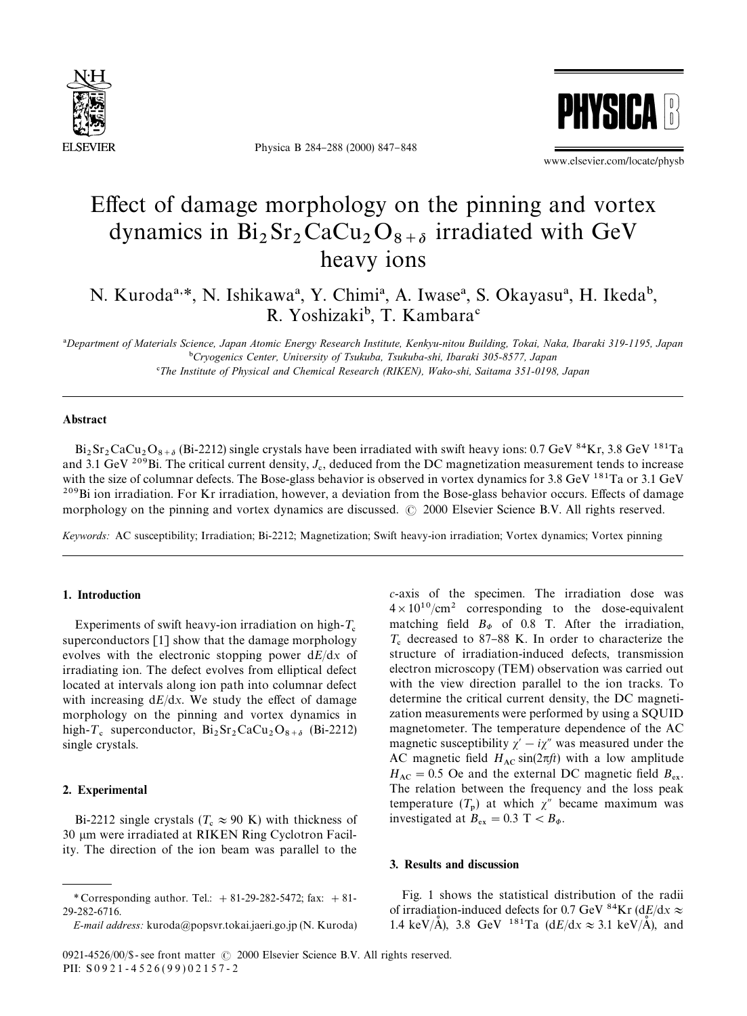

Physica B 284-288 (2000) 847-848



www.elsevier.com/locate/physb

# Effect of damage morphology on the pinning and vortex dynamics in  $Bi_2Sr_2CaCu_2O_{8+\delta}$  irradiated with GeV heavy ions

N. Kuroda<sup>a, \*</sup>, N. Ishikawa<sup>a</sup>, Y. Chimi<sup>a</sup>, A. Iwase<sup>a</sup>, S. Okayasu<sup>a</sup>, H. Ikeda<sup>b</sup>, R. Yoshizaki<sup>b</sup>, T. Kambara<sup>c</sup>

!*Department of Materials Science, Japan Atomic Energy Research Institute, Kenkyu-nitou Building, Tokai, Naka, Ibaraki 319-1195, Japan* "*Cryogenics Center, University of Tsukuba, Tsukuba-shi, Ibaraki 305-8577, Japan* #*The Institute of Physical and Chemical Research (RIKEN), Wako-shi, Saitama 351-0198, Japan*

### Abstract

 $Bi_2Sr_2CaCu_2O_{8+\delta}$  (Bi-2212) single crystals have been irradiated with swift heavy ions: 0.7 GeV  $^{84}Kr$ , 3.8 GeV  $^{181}Ta$ and 3.1 GeV <sup>209</sup>Bi. The critical current density,  $J_c$ , deduced from the DC magnetization measurement tends to increase with the size of columnar defects. The Bose-glass behavior is observed in vortex dynamics for 3.8 GeV  $^{181}$ Ta or 3.1 GeV <sup>209</sup>Bi ion irradiation. For Kr irradiation, however, a deviation from the Bose-glass behavior occurs. Effects of damage morphology on the pinning and vortex dynamics are discussed. © 2000 Elsevier Science B.V. All rights reserved.

*Keywords:* AC susceptibility; Irradiation; Bi-2212; Magnetization; Swift heavy-ion irradiation; Vortex dynamics; Vortex pinning

### 1. Introduction

Experiments of swift heavy-ion irradiation on high- $T_c$  superconductors [1] show that the damage morphology evolves with the electronic stopping power d*E*/d*x* of irradiating ion. The defect evolves from elliptical defect located at intervals along ion path into columnar defect with increasing  $dE/dx$ . We study the effect of damage morphology on the pinning and vortex dynamics in high- $T_c$  superconductor,  $Bi_2Sr_2CaCu_2O_{8+\delta}$  (Bi-2212) single crystals.

## 2. Experimental

Bi-2212 single crystals ( $T_c \approx 90$  K) with thickness of 30 µm were irradiated at RIKEN Ring Cyclotron Facility. The direction of the ion beam was parallel to the *c*-axis of the specimen. The irradiation dose was  $4 \times 10^{10}$ /cm<sup>2</sup> corresponding to the dose-equivalent matching field  $B_{\phi}$  of 0.8 T. After the irradiation,  $T_c$  decreased to 87-88 K. In order to characterize the structure of irradiation-induced defects, transmission electron microscopy (TEM) observation was carried out with the view direction parallel to the ion tracks. To determine the critical current density, the DC magnetization measurements were performed by using a SQUID magnetometer. The temperature dependence of the AC magnetic susceptibility  $\chi' - i\chi''$  was measured under the AC magnetic field  $H_{AC}$  sin( $2\pi ft$ ) with a low amplitude  $H_{AC} = 0.5$  Oe and the external DC magnetic field  $B_{ex}$ . The relation between the frequency and the loss peak temperature  $(T_p)$  at which  $\chi''$  became maximum was investigated at  $B_{ex} = 0.3$  T <  $B_{\Phi}$ .

## 3. Results and discussion

Fig. 1 shows the statistical distribution of the radii of irradiation-induced defects for 0.7 GeV <sup>84</sup>Kr (d*E*/d*x*  $\approx$ 1.4 keV/ $\AA$ ), 3.8 GeV <sup>181</sup>Ta (d*E*/d*x*  $\approx$  3.1 keV/ $\AA$ ), and

<sup>\*</sup> Corresponding author. Tel.:  $+ 81-29-282-5472$ ; fax:  $+ 81-$ 29-282-6716.

*E-mail address:* kuroda@popsvr.tokai.jaeri.go.jp (N. Kuroda)